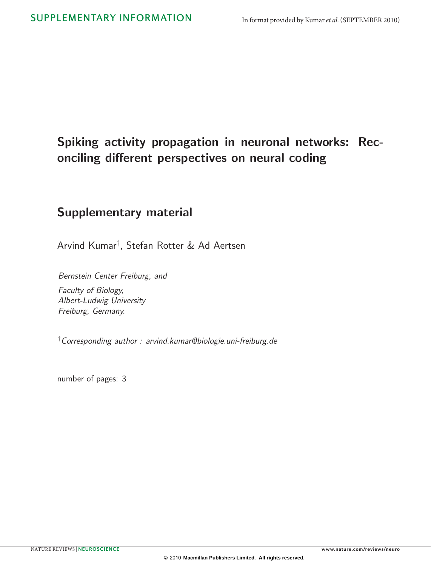# Spiking activity propagation in neuronal networks: Reconciling different perspectives on neural coding

# Supplementary material

Arvind Kumar† , Stefan Rotter & Ad Aertsen

Bernstein Center Freiburg, and

Faculty of Biology, Albert-Ludwig University Freiburg, Germany.

† Corresponding author : arvind.kumar@biologie.uni-freiburg.de

number of pages: 3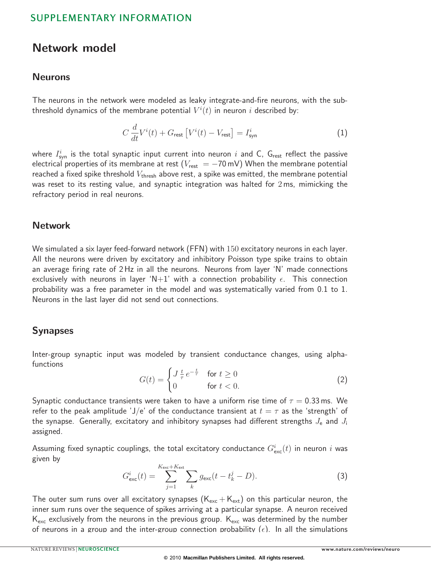## SUPPLEMENTARY INFORMATION

## Network model

#### Neurons

The neurons in the network were modeled as leaky integrate-and-fire neurons, with the subthreshold dynamics of the membrane potential  $V^i(t)$  in neuron  $i$  described by:

$$
C\frac{d}{dt}V^{i}(t) + G_{\text{rest}}\left[V^{i}(t) - V_{\text{rest}}\right] = I_{\text{syn}}^{i}
$$
\n(1)

where  $I^i_{\mathrm{syn}}$  is the total synaptic input current into neuron  $i$  and C,  $\mathsf{G}_{\mathrm{rest}}$  reflect the passive electrical properties of its membrane at rest ( $V_{\text{rest}} = -70 \text{ mV}$ ) When the membrane potential reached a fixed spike threshold  $V_{\text{thresh}}$  above rest, a spike was emitted, the membrane potential was reset to its resting value, and synaptic integration was halted for 2 ms, mimicking the refractory period in real neurons.

#### **Network**

We simulated a six layer feed-forward network (FFN) with 150 excitatory neurons in each layer. All the neurons were driven by excitatory and inhibitory Poisson type spike trains to obtain an average firing rate of 2 Hz in all the neurons. Neurons from layer 'N' made connections exclusively with neurons in layer 'N+1' with a connection probability  $\epsilon$ . This connection probability was a free parameter in the model and was systematically varied from 0.1 to 1. Neurons in the last layer did not send out connections.

#### Synapses

Inter-group synaptic input was modeled by transient conductance changes, using alphafunctions

$$
G(t) = \begin{cases} J \frac{t}{\tau} e^{-\frac{t}{\tau}} & \text{for } t \ge 0\\ 0 & \text{for } t < 0. \end{cases} \tag{2}
$$

Synaptic conductance transients were taken to have a uniform rise time of  $\tau = 0.33$  ms. We refer to the peak amplitude 'J/e' of the conductance transient at  $t = \tau$  as the 'strength' of the synapse. Generally, excitatory and inhibitory synapses had different strengths  $J_e$  and  $J_i$ assigned.

Assuming fixed synaptic couplings, the total excitatory conductance  $G^i_{\rm exc}(t)$  in neuron  $i$  was given by

$$
G_{\text{exc}}^i(t) = \sum_{j=1}^{K_{\text{exc}}+K_{\text{ext}}} \sum_k g_{\text{exc}}(t - t_k^j - D). \tag{3}
$$

The outer sum runs over all excitatory synapses  $(K_{\text{exc}} + K_{\text{ext}})$  on this particular neuron, the inner sum runs over the sequence of spikes arriving at a particular synapse. A neuron received  $K_{\text{exc}}$  exclusively from the neurons in the previous group.  $K_{\text{exc}}$  was determined by the number of neurons in a group and the inter-group connection probability ( $\epsilon$ ). In all the simulations